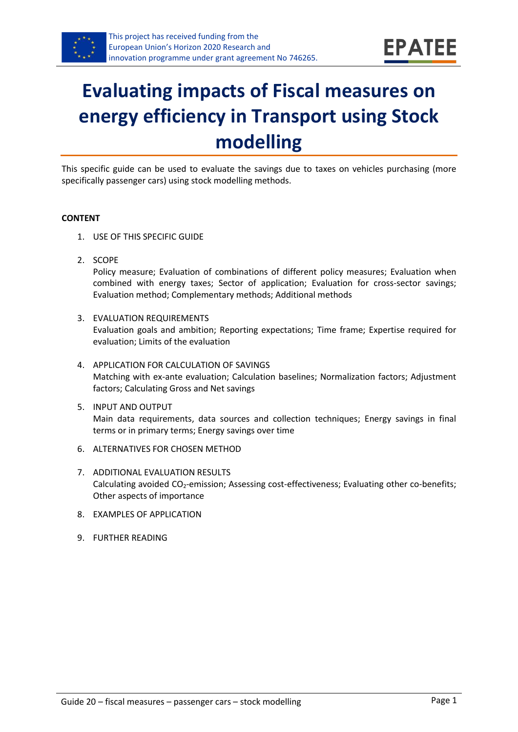

# **Evaluating impacts of Fiscal measures on energy efficiency in Transport using Stock modelling**

This specific guide can be used to evaluate the savings due to taxes on vehicles purchasing (more specifically passenger cars) using stock modelling methods.

#### **CONTENT**

- 1. USE OF THIS SPECIFIC GUIDE
- <span id="page-0-1"></span>2. SCOPE

Policy measure; Evaluation of combinations of different policy measures; Evaluation when combined with energy taxes; Sector of application; Evaluation for cross-sector savings; Evaluation method; Complementary methods; Additional methods

- <span id="page-0-2"></span>3. EVALUATION REQUIREMENTS Evaluation goals and ambition; Reporting expectations; Time frame; Expertise required for evaluation; Limits of the evaluation
- <span id="page-0-3"></span>4. APPLICATION FOR CALCULATION OF SAVINGS Matching with ex-ante evaluation; Calculation baselines; Normalization factors; Adjustment factors; Calculating Gross and Net savings
- <span id="page-0-4"></span>5. INPUT AND OUTPUT Main data requirements, data sources and collection techniques; Energy savings in final terms or in primary terms; Energy savings over time
- <span id="page-0-0"></span>6. ALTERNATIVES FOR CHOSEN METHOD
- <span id="page-0-5"></span>7. ADDITIONAL EVALUATION RESULTS Calculating avoided CO<sub>2</sub>-emission; Assessing cost-effectiveness; Evaluating other co-benefits; Other aspects of importance
- <span id="page-0-6"></span>8. EXAMPLES OF APPLICATION
- <span id="page-0-7"></span>9. FURTHER READING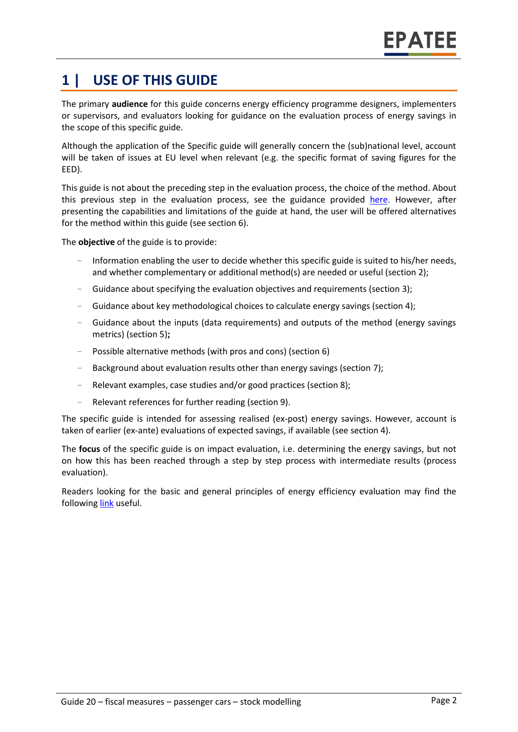# **1 | USE OF THIS GUIDE**

The primary **audience** for this guide concerns energy efficiency programme designers, implementers or supervisors, and evaluators looking for guidance on the evaluation process of energy savings in the scope of this specific guide.

Although the application of the Specific guide will generally concern the (sub)national level, account will be taken of issues at EU level when relevant (e.g. the specific format of saving figures for the EED).

This guide is not about the preceding step in the evaluation process, the choice of the method. About this previous step in the evaluation process, see the guidance provided [here.](https://www.epatee-toolbox.eu/wp-content/uploads/2019/04/epatee_integrating_evaluation_into_policy_cycle.pdf) However, after presenting the capabilities and limitations of the guide at hand, the user will be offered alternatives for the method within this guide (see section [6\)](#page-0-0).

The **objective** of the guide is to provide:

- Information enabling the user to decide whether this specific guide is suited to his/her needs, and whether complementary or additional method(s) are needed or useful (section [2\)](#page-0-1);
- Guidance about specifying the evaluation objectives and requirements (section [3\)](#page-0-2);
- Guidance about key methodological choices to calculate energy savings (section [4\)](#page-0-3);
- Guidance about the inputs (data requirements) and outputs of the method (energy savings metrics) (sectio[n 5\)](#page-0-4)**;**
- Possible alternative methods (with pros and cons) (section [6\)](#page-0-0)
- Background about evaluation results other than energy savings (sectio[n 7\)](#page-0-5);
- Relevant examples, case studies and/or good practices (section [8\)](#page-0-6);
- Relevant references for further reading (section [9\)](#page-0-7).

The specific guide is intended for assessing realised (ex-post) energy savings. However, account is taken of earlier (ex-ante) evaluations of expected savings, if available (see sectio[n 4\)](#page-0-3).

The **focus** of the specific guide is on impact evaluation, i.e. determining the energy savings, but not on how this has been reached through a step by step process with intermediate results (process evaluation).

Readers looking for the basic and general principles of energy efficiency evaluation may find the followin[g link](https://www.epatee-toolbox.eu/evaluation-principles-and-methods/) useful.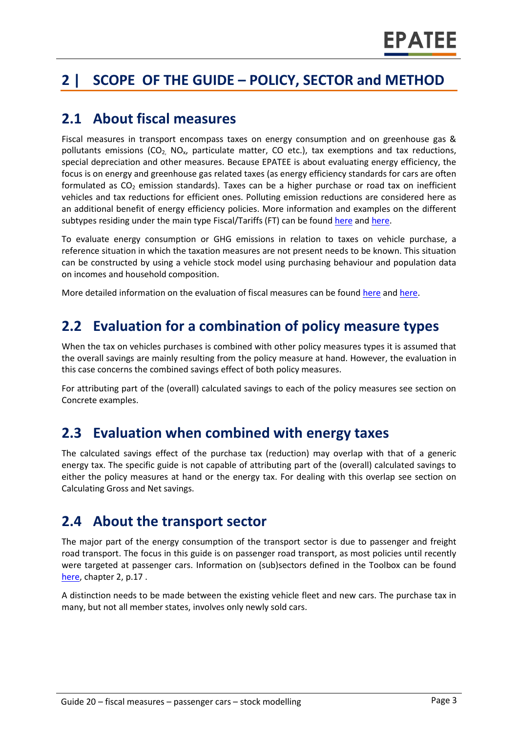# **2 | SCOPE OF THE GUIDE – POLICY, SECTOR and METHOD**

### **2.1 About fiscal measures**

Fiscal measures in transport encompass taxes on energy consumption and on greenhouse gas & pollutants emissions ( $CO<sub>2</sub>$ , NO<sub>x</sub>, particulate matter, CO etc.), tax exemptions and tax reductions, special depreciation and other measures. Because EPATEE is about evaluating energy efficiency, the focus is on energy and greenhouse gas related taxes (as energy efficiency standards for cars are often formulated as  $CO<sub>2</sub>$  emission standards). Taxes can be a higher purchase or road tax on inefficient vehicles and tax reductions for efficient ones. Polluting emission reductions are considered here as an additional benefit of energy efficiency policies. More information and examples on the different subtypes residing under the main type Fiscal/Tariffs (FT) can be foun[d here](http://www.measures-odyssee-mure.eu/) and [here.](https://www.epatee-lib.eu/)

To evaluate energy consumption or GHG emissions in relation to taxes on vehicle purchase, a reference situation in which the taxation measures are not present needs to be known. This situation can be constructed by using a vehicle stock model using purchasing behaviour and population data on incomes and household composition.

More detailed information on the evaluation of fiscal measures can be found [here](http://www.measures-odyssee-mure.eu/) an[d here.](https://www.epatee-lib.eu/)

### **2.2 Evaluation for a combination of policy measure types**

When the tax on vehicles purchases is combined with other policy measures types it is assumed that the overall savings are mainly resulting from the policy measure at hand. However, the evaluation in this case concerns the combined savings effect of both policy measures.

For attributing part of the (overall) calculated savings to each of the policy measures see section on Concrete examples.

### **2.3 Evaluation when combined with energy taxes**

The calculated savings effect of the purchase tax (reduction) may overlap with that of a generic energy tax. The specific guide is not capable of attributing part of the (overall) calculated savings to either the policy measures at hand or the energy tax. For dealing with this overlap see section on Calculating Gross and Net savings.

### **2.4 About the transport sector**

The major part of the energy consumption of the transport sector is due to passenger and freight road transport. The focus in this guide is on passenger road transport, as most policies until recently were targeted at passenger cars. Information on (sub)sectors defined in the Toolbox can be found [here,](https://www.epatee-toolbox.eu/wp-content/uploads/2018/10/Definitions-and-typologies-related-to-energy-savings-evaluation.pdf) chapter 2, p.17 .

A distinction needs to be made between the existing vehicle fleet and new cars. The purchase tax in many, but not all member states, involves only newly sold cars.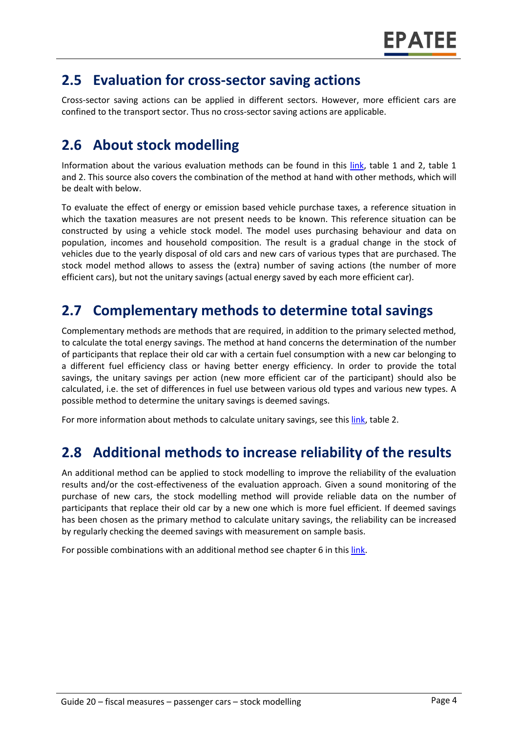### **2.5 Evaluation for cross-sector saving actions**

Cross-sector saving actions can be applied in different sectors. However, more efficient cars are confined to the transport sector. Thus no cross-sector saving actions are applicable.

# **2.6 About stock modelling**

Information about the various evaluation methods can be found in this [link,](https://www.epatee-toolbox.eu/wp-content/uploads/2019/04/Saving_calculation_methods_for_EPATEE_Toobox_2019_04_24.pdf) table 1 and 2, table 1 and 2. This source also covers the combination of the method at hand with other methods, which will be dealt with below.

To evaluate the effect of energy or emission based vehicle purchase taxes, a reference situation in which the taxation measures are not present needs to be known. This reference situation can be constructed by using a vehicle stock model. The model uses purchasing behaviour and data on population, incomes and household composition. The result is a gradual change in the stock of vehicles due to the yearly disposal of old cars and new cars of various types that are purchased. The stock model method allows to assess the (extra) number of saving actions (the number of more efficient cars), but not the unitary savings (actual energy saved by each more efficient car).

### **2.7 Complementary methods to determine total savings**

Complementary methods are methods that are required, in addition to the primary selected method, to calculate the total energy savings. The method at hand concerns the determination of the number of participants that replace their old car with a certain fuel consumption with a new car belonging to a different fuel efficiency class or having better energy efficiency. In order to provide the total savings, the unitary savings per action (new more efficient car of the participant) should also be calculated, i.e. the set of differences in fuel use between various old types and various new types. A possible method to determine the unitary savings is deemed savings.

For more information about methods to calculate unitary savings, see thi[s link,](https://www.epatee-toolbox.eu/wp-content/uploads/2019/04/Saving_calculation_methods_for_EPATEE_Toobox_2019_04_24.pdf) table 2.

# **2.8 Additional methods to increase reliability of the results**

An additional method can be applied to stock modelling to improve the reliability of the evaluation results and/or the cost-effectiveness of the evaluation approach. Given a sound monitoring of the purchase of new cars, the stock modelling method will provide reliable data on the number of participants that replace their old car by a new one which is more fuel efficient. If deemed savings has been chosen as the primary method to calculate unitary savings, the reliability can be increased by regularly checking the deemed savings with measurement on sample basis.

For possible combinations with an additional method see chapter 6 in thi[s link.](https://www.epatee-toolbox.eu/wp-content/uploads/2019/04/Saving_calculation_methods_for_EPATEE_Toobox_2019_04_24.pdf)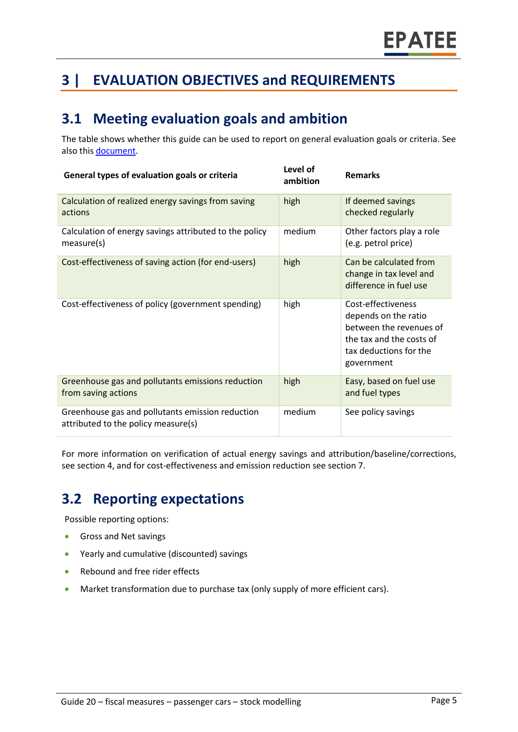# **3 | EVALUATION OBJECTIVES and REQUIREMENTS**

# **3.1 Meeting evaluation goals and ambition**

The table shows whether this guide can be used to report on general evaluation goals or criteria. See also this [document.](https://www.epatee-lib.eu/media/docs/D4_EMEEES_Final.pdf)

| General types of evaluation goals or criteria                                           | Level of<br>ambition | <b>Remarks</b>                                                                                                                            |
|-----------------------------------------------------------------------------------------|----------------------|-------------------------------------------------------------------------------------------------------------------------------------------|
| Calculation of realized energy savings from saving<br>actions                           | high                 | If deemed savings<br>checked regularly                                                                                                    |
| Calculation of energy savings attributed to the policy<br>measure(s)                    | medium               | Other factors play a role<br>(e.g. petrol price)                                                                                          |
| Cost-effectiveness of saving action (for end-users)                                     | high                 | Can be calculated from<br>change in tax level and<br>difference in fuel use                                                               |
| Cost-effectiveness of policy (government spending)                                      | high                 | Cost-effectiveness<br>depends on the ratio<br>between the revenues of<br>the tax and the costs of<br>tax deductions for the<br>government |
| Greenhouse gas and pollutants emissions reduction<br>from saving actions                | high                 | Easy, based on fuel use<br>and fuel types                                                                                                 |
| Greenhouse gas and pollutants emission reduction<br>attributed to the policy measure(s) | medium               | See policy savings                                                                                                                        |

For more information on verification of actual energy savings and attribution/baseline/corrections, see section 4, and for cost-effectiveness and emission reduction see section 7.

# **3.2 Reporting expectations**

Possible reporting options:

- Gross and Net savings
- Yearly and cumulative (discounted) savings
- Rebound and free rider effects
- Market transformation due to purchase tax (only supply of more efficient cars).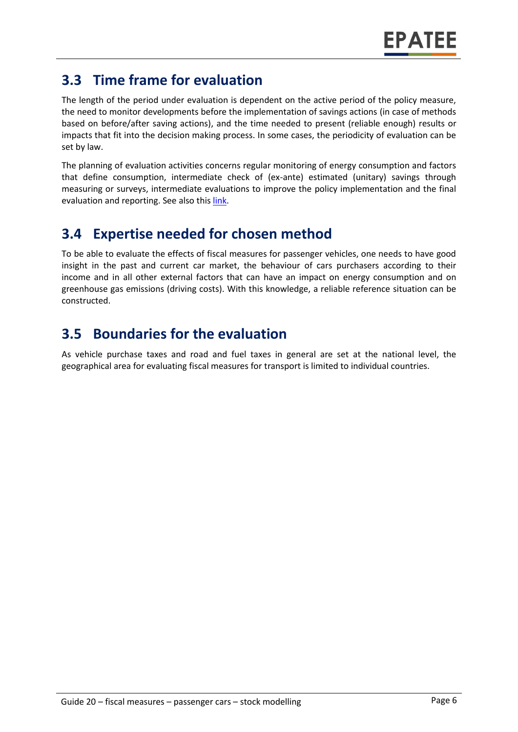# **3.3 Time frame for evaluation**

The length of the period under evaluation is dependent on the active period of the policy measure, the need to monitor developments before the implementation of savings actions (in case of methods based on before/after saving actions), and the time needed to present (reliable enough) results or impacts that fit into the decision making process. In some cases, the periodicity of evaluation can be set by law.

The planning of evaluation activities concerns regular monitoring of energy consumption and factors that define consumption, intermediate check of (ex-ante) estimated (unitary) savings through measuring or surveys, intermediate evaluations to improve the policy implementation and the final evaluation and reporting. See also thi[s link.](https://www.epatee-toolbox.eu/wp-content/uploads/2019/04/epatee_integrating_evaluation_into_policy_cycle.pdf)

# **3.4 Expertise needed for chosen method**

To be able to evaluate the effects of fiscal measures for passenger vehicles, one needs to have good insight in the past and current car market, the behaviour of cars purchasers according to their income and in all other external factors that can have an impact on energy consumption and on greenhouse gas emissions (driving costs). With this knowledge, a reliable reference situation can be constructed.

# **3.5 Boundaries for the evaluation**

As vehicle purchase taxes and road and fuel taxes in general are set at the national level, the geographical area for evaluating fiscal measures for transport is limited to individual countries.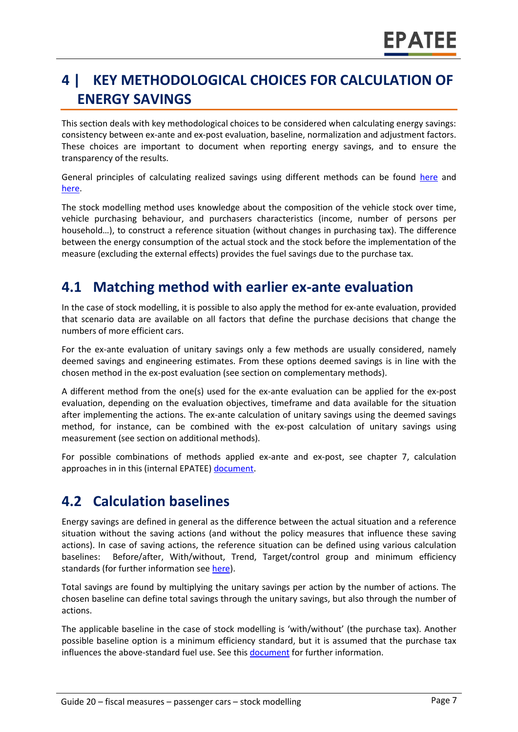# **4 | KEY METHODOLOGICAL CHOICES FOR CALCULATION OF ENERGY SAVINGS**

This section deals with key methodological choices to be considered when calculating energy savings: consistency between ex-ante and ex-post evaluation, baseline, normalization and adjustment factors. These choices are important to document when reporting energy savings, and to ensure the transparency of the results.

General principles of calculating realized savings using different methods can be found [here](https://www.epatee-lib.eu/media/docs/D4_EMEEES_Final.pdf) and [here.](https://www.epatee-lib.eu/media/docs/EMEEES_WP3_Report_Final.pdf)

The stock modelling method uses knowledge about the composition of the vehicle stock over time, vehicle purchasing behaviour, and purchasers characteristics (income, number of persons per household…), to construct a reference situation (without changes in purchasing tax). The difference between the energy consumption of the actual stock and the stock before the implementation of the measure (excluding the external effects) provides the fuel savings due to the purchase tax.

### **4.1 Matching method with earlier ex-ante evaluation**

In the case of stock modelling, it is possible to also apply the method for ex-ante evaluation, provided that scenario data are available on all factors that define the purchase decisions that change the numbers of more efficient cars.

For the ex-ante evaluation of unitary savings only a few methods are usually considered, namely deemed savings and engineering estimates. From these options deemed savings is in line with the chosen method in the ex-post evaluation (see section on complementary methods).

A different method from the one(s) used for the ex-ante evaluation can be applied for the ex-post evaluation, depending on the evaluation objectives, timeframe and data available for the situation after implementing the actions. The ex-ante calculation of unitary savings using the deemed savings method, for instance, can be combined with the ex-post calculation of unitary savings using measurement (see section on additional methods).

For possible combinations of methods applied ex-ante and ex-post, see chapter 7, calculation approaches in in this (internal EPATEE[\) document.](https://www.epatee-toolbox.eu/wp-content/uploads/2019/04/Saving_calculation_methods_for_EPATEE_Toobox_2019_04_24.pdf)

### **4.2 Calculation baselines**

Energy savings are defined in general as the difference between the actual situation and a reference situation without the saving actions (and without the policy measures that influence these saving actions). In case of saving actions, the reference situation can be defined using various calculation baselines: Before/after, With/without, Trend, Target/control group and minimum efficiency standards (for further information see [here\)](https://www.epatee-toolbox.eu/wp-content/uploads/2019/04/Application_of_KB_savings_baselines_and_correction_factors_in_the_Toolbox_and_PSMCs_190418_.pdf).

Total savings are found by multiplying the unitary savings per action by the number of actions. The chosen baseline can define total savings through the unitary savings, but also through the number of actions.

The applicable baseline in the case of stock modelling is 'with/without' (the purchase tax). Another possible baseline option is a minimum efficiency standard, but it is assumed that the purchase tax influences the above-standard fuel use. See this [document](https://www.academia.edu/14979876/Evaluating_energy_efficiency_policy_measures_and_DSM_programmes) for further information.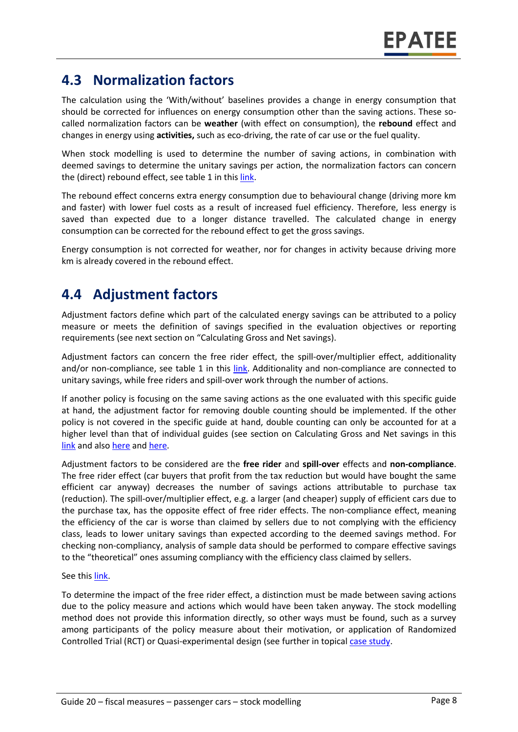### **4.3 Normalization factors**

The calculation using the 'With/without' baselines provides a change in energy consumption that should be corrected for influences on energy consumption other than the saving actions. These socalled normalization factors can be **weather** (with effect on consumption), the **rebound** effect and changes in energy using **activities,** such as eco-driving, the rate of car use or the fuel quality.

When stock modelling is used to determine the number of saving actions, in combination with deemed savings to determine the unitary savings per action, the normalization factors can concern the (direct) rebound effect, see table 1 in this [link.](https://www.epatee-toolbox.eu/wp-content/uploads/2019/04/Saving_calculation_methods_for_EPATEE_Toobox_2019_04_24.pdf)

The rebound effect concerns extra energy consumption due to behavioural change (driving more km and faster) with lower fuel costs as a result of increased fuel efficiency. Therefore, less energy is saved than expected due to a longer distance travelled. The calculated change in energy consumption can be corrected for the rebound effect to get the gross savings.

Energy consumption is not corrected for weather, nor for changes in activity because driving more km is already covered in the rebound effect.

# **4.4 Adjustment factors**

Adjustment factors define which part of the calculated energy savings can be attributed to a policy measure or meets the definition of savings specified in the evaluation objectives or reporting requirements (see next section on "Calculating Gross and Net savings).

Adjustment factors can concern the free rider effect, the spill-over/multiplier effect, additionality and/or non-compliance, see table 1 in this [link.](https://www.epatee-toolbox.eu/wp-content/uploads/2019/04/Saving_calculation_methods_for_EPATEE_Toobox_2019_04_24.pdf) Additionality and non-compliance are connected to unitary savings, while free riders and spill-over work through the number of actions.

If another policy is focusing on the same saving actions as the one evaluated with this specific guide at hand, the adjustment factor for removing double counting should be implemented. If the other policy is not covered in the specific guide at hand, double counting can only be accounted for at a higher level than that of individual guides (see section on Calculating Gross and Net savings in this [link](https://www.epatee-lib.eu/media/docs/EMEEES_WP3_Report_Final.pdf) and also [here](https://www.academia.edu/14979876/Evaluating_energy_efficiency_policy_measures_and_DSM_programmes) and [here.](https://www.epatee-lib.eu/media/docs/D4_EMEEES_Final.pdf)

Adjustment factors to be considered are the **free rider** and **spill-over** effects and **non-compliance**. The free rider effect (car buyers that profit from the tax reduction but would have bought the same efficient car anyway) decreases the number of savings actions attributable to purchase tax (reduction). The spill-over/multiplier effect, e.g. a larger (and cheaper) supply of efficient cars due to the purchase tax, has the opposite effect of free rider effects. The non-compliance effect, meaning the efficiency of the car is worse than claimed by sellers due to not complying with the efficiency class, leads to lower unitary savings than expected according to the deemed savings method. For checking non-compliancy, analysis of sample data should be performed to compare effective savings to the "theoretical" ones assuming compliancy with the efficiency class claimed by sellers.

#### See this [link.](https://www.epatee-toolbox.eu/wp-content/uploads/2019/04/Application_of_KB_savings_baselines_and_correction_factors_in_the_Toolbox_and_PSMCs_190418_.pdf)

To determine the impact of the free rider effect, a distinction must be made between saving actions due to the policy measure and actions which would have been taken anyway. The stock modelling method does not provide this information directly, so other ways must be found, such as a survey among participants of the policy measure about their motivation, or application of Randomized Controlled Trial (RCT) or Quasi-experimental design (see further in topical [case study.](https://www.epatee-toolbox.eu/wp-content/uploads/2018/10/epatee_topical_case_study_evaluating_net_energy_savings.pdf)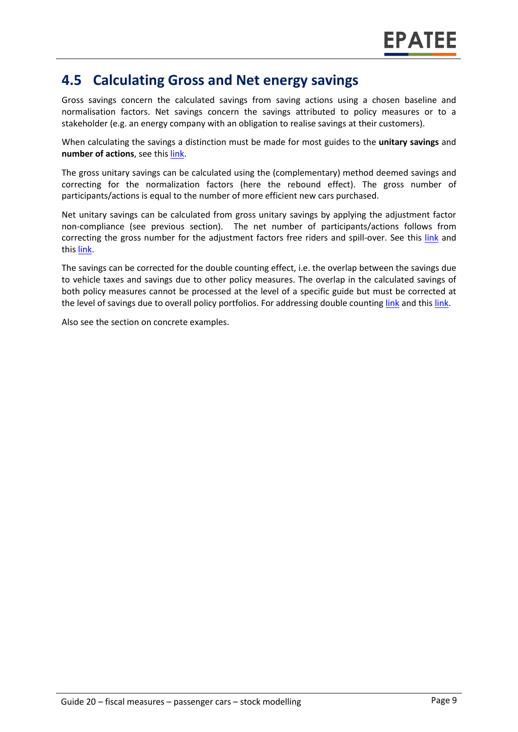### **4.5 Calculating Gross and Net energy savings**

Gross savings concern the calculated savings from saving actions using a chosen baseline and normalisation factors. Net savings concern the savings attributed to policy measures or to a stakeholder (e.g. an energy company with an obligation to realise savings at their customers).

When calculating the savings a distinction must be made for most guides to the **unitary savings** and **number of actions**, see this [link.](https://www.epatee-lib.eu/media/docs/D4_EMEEES_Final.pdf)

The gross unitary savings can be calculated using the (complementary) method deemed savings and correcting for the normalization factors (here the rebound effect). The gross number of participants/actions is equal to the number of more efficient new cars purchased.

Net unitary savings can be calculated from gross unitary savings by applying the adjustment factor non-compliance (see previous section). The net number of participants/actions follows from correcting the gross number for the adjustment factors free riders and spill-over. See this [link](https://www.academia.edu/14979876/Evaluating_energy_efficiency_policy_measures_and_DSM_programmes) and thi[s link.](https://www.epatee-lib.eu/media/docs/D4_EMEEES_Final.pdf)

The savings can be corrected for the double counting effect, i.e. the overlap between the savings due to vehicle taxes and savings due to other policy measures. The overlap in the calculated savings of both policy measures cannot be processed at the level of a specific guide but must be corrected at the level of savings due to overall policy portfolios. For addressing double counting [link](https://www.academia.edu/14979876/Evaluating_energy_efficiency_policy_measures_and_DSM_programmes) and thi[s link.](https://www.epatee-lib.eu/media/docs/D4_EMEEES_Final.pdf)

Also see the section on concrete examples.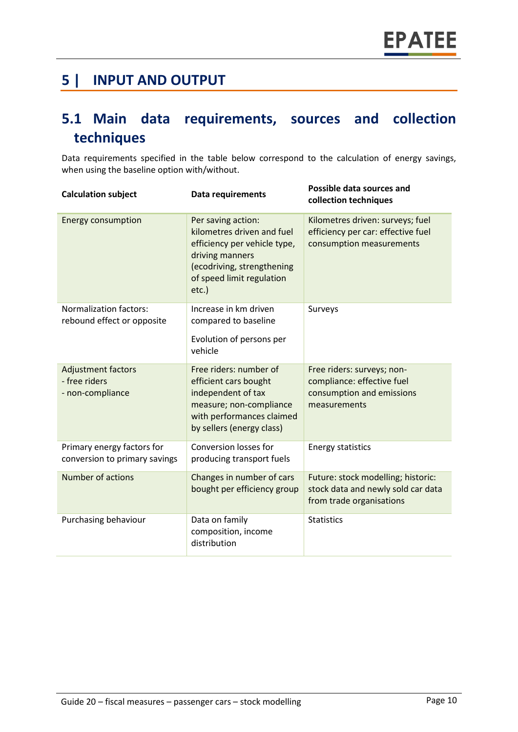### **5 | INPUT AND OUTPUT**

# **5.1 Main data requirements, sources and collection techniques**

Data requirements specified in the table below correspond to the calculation of energy savings, when using the baseline option with/without.

| <b>Calculation subject</b>                                     | <b>Data requirements</b>                                                                                                                                                   | Possible data sources and<br>collection techniques                                                    |
|----------------------------------------------------------------|----------------------------------------------------------------------------------------------------------------------------------------------------------------------------|-------------------------------------------------------------------------------------------------------|
| <b>Energy consumption</b>                                      | Per saving action:<br>kilometres driven and fuel<br>efficiency per vehicle type,<br>driving manners<br>(ecodriving, strengthening<br>of speed limit regulation<br>$etc.$ ) | Kilometres driven: surveys; fuel<br>efficiency per car: effective fuel<br>consumption measurements    |
| <b>Normalization factors:</b><br>rebound effect or opposite    | Increase in km driven<br>compared to baseline                                                                                                                              | Surveys                                                                                               |
|                                                                | Evolution of persons per<br>vehicle                                                                                                                                        |                                                                                                       |
| <b>Adjustment factors</b><br>- free riders<br>- non-compliance | Free riders: number of<br>efficient cars bought<br>independent of tax<br>measure; non-compliance<br>with performances claimed<br>by sellers (energy class)                 | Free riders: surveys; non-<br>compliance: effective fuel<br>consumption and emissions<br>measurements |
| Primary energy factors for<br>conversion to primary savings    | Conversion losses for<br>producing transport fuels                                                                                                                         | <b>Energy statistics</b>                                                                              |
| Number of actions                                              | Changes in number of cars<br>bought per efficiency group                                                                                                                   | Future: stock modelling; historic:<br>stock data and newly sold car data<br>from trade organisations  |
| Purchasing behaviour                                           | Data on family<br>composition, income<br>distribution                                                                                                                      | <b>Statistics</b>                                                                                     |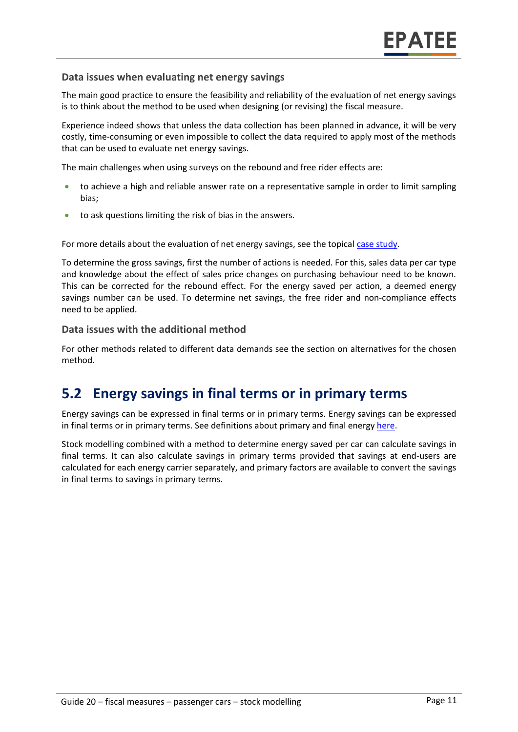#### **Data issues when evaluating net energy savings**

The main good practice to ensure the feasibility and reliability of the evaluation of net energy savings is to think about the method to be used when designing (or revising) the fiscal measure.

Experience indeed shows that unless the data collection has been planned in advance, it will be very costly, time-consuming or even impossible to collect the data required to apply most of the methods that can be used to evaluate net energy savings.

The main challenges when using surveys on the rebound and free rider effects are:

- to achieve a high and reliable answer rate on a representative sample in order to limit sampling bias;
- to ask questions limiting the risk of bias in the answers.

For more details about the evaluation of net energy savings, see the topical [case study.](https://www.epatee-toolbox.eu/evaluation-principles-and-methods/epatee-topical-case-study-evaluating-net-energy-savings/)

To determine the gross savings, first the number of actions is needed. For this, sales data per car type and knowledge about the effect of sales price changes on purchasing behaviour need to be known. This can be corrected for the rebound effect. For the energy saved per action, a deemed energy savings number can be used. To determine net savings, the free rider and non-compliance effects need to be applied.

#### **Data issues with the additional method**

For other methods related to different data demands see the section on alternatives for the chosen method.

### **5.2 Energy savings in final terms or in primary terms**

Energy savings can be expressed in final terms or in primary terms. Energy savings can be expressed in final terms or in primary terms. See definitions about primary and final energy [here.](https://www.epatee-toolbox.eu/wp-content/uploads/2018/10/Definitions-and-typologies-related-to-energy-savings-evaluation.pdf)

Stock modelling combined with a method to determine energy saved per car can calculate savings in final terms. It can also calculate savings in primary terms provided that savings at end-users are calculated for each energy carrier separately, and primary factors are available to convert the savings in final terms to savings in primary terms.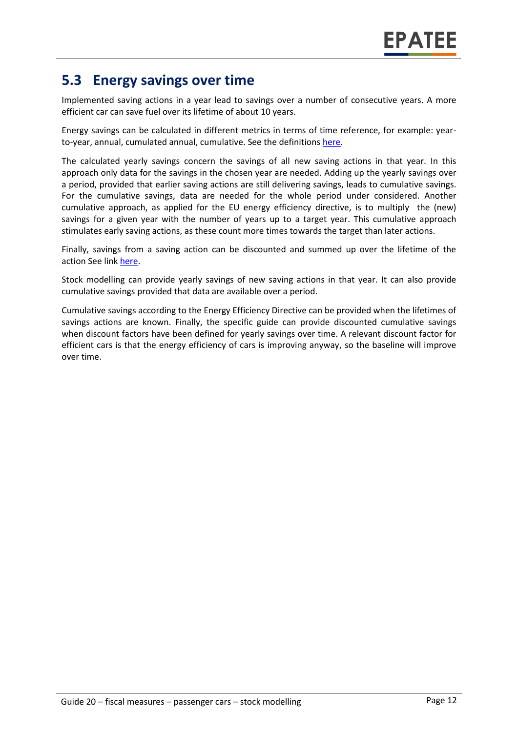### **5.3 Energy savings over time**

Implemented saving actions in a year lead to savings over a number of consecutive years. A more efficient car can save fuel over its lifetime of about 10 years.

Energy savings can be calculated in different metrics in terms of time reference, for example: yearto-year, annual, cumulated annual, cumulative. See the definition[s here.](https://www.epatee-toolbox.eu/wp-content/uploads/2018/10/Definitions-and-typologies-related-to-energy-savings-evaluation.pdf)

The calculated yearly savings concern the savings of all new saving actions in that year. In this approach only data for the savings in the chosen year are needed. Adding up the yearly savings over a period, provided that earlier saving actions are still delivering savings, leads to cumulative savings. For the cumulative savings, data are needed for the whole period under considered. Another cumulative approach, as applied for the EU energy efficiency directive, is to multiply the (new) savings for a given year with the number of years up to a target year. This cumulative approach stimulates early saving actions, as these count more times towards the target than later actions.

Finally, savings from a saving action can be discounted and summed up over the lifetime of the action See link [here.](https://www.epatee-toolbox.eu/wp-content/uploads/2018/10/Definitions-and-typologies-related-to-energy-savings-evaluation.pdf)

Stock modelling can provide yearly savings of new saving actions in that year. It can also provide cumulative savings provided that data are available over a period.

Cumulative savings according to the Energy Efficiency Directive can be provided when the lifetimes of savings actions are known. Finally, the specific guide can provide discounted cumulative savings when discount factors have been defined for yearly savings over time. A relevant discount factor for efficient cars is that the energy efficiency of cars is improving anyway, so the baseline will improve over time.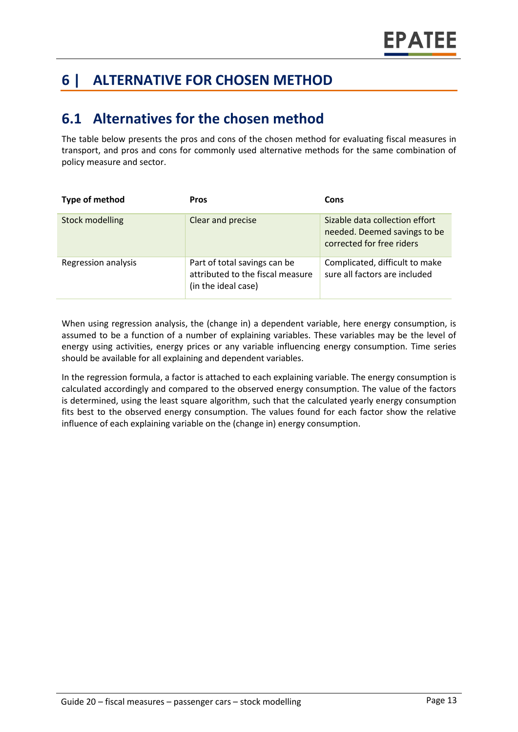# **6 | ALTERNATIVE FOR CHOSEN METHOD**

### **6.1 Alternatives for the chosen method**

The table below presents the pros and cons of the chosen method for evaluating fiscal measures in transport, and pros and cons for commonly used alternative methods for the same combination of policy measure and sector.

| Type of method         | <b>Pros</b>                                                                             | Cons                                                                                        |
|------------------------|-----------------------------------------------------------------------------------------|---------------------------------------------------------------------------------------------|
| <b>Stock modelling</b> | Clear and precise                                                                       | Sizable data collection effort<br>needed. Deemed savings to be<br>corrected for free riders |
| Regression analysis    | Part of total savings can be<br>attributed to the fiscal measure<br>(in the ideal case) | Complicated, difficult to make<br>sure all factors are included                             |

When using regression analysis, the (change in) a dependent variable, here energy consumption, is assumed to be a function of a number of explaining variables. These variables may be the level of energy using activities, energy prices or any variable influencing energy consumption. Time series should be available for all explaining and dependent variables.

In the regression formula, a factor is attached to each explaining variable. The energy consumption is calculated accordingly and compared to the observed energy consumption. The value of the factors is determined, using the least square algorithm, such that the calculated yearly energy consumption fits best to the observed energy consumption. The values found for each factor show the relative influence of each explaining variable on the (change in) energy consumption.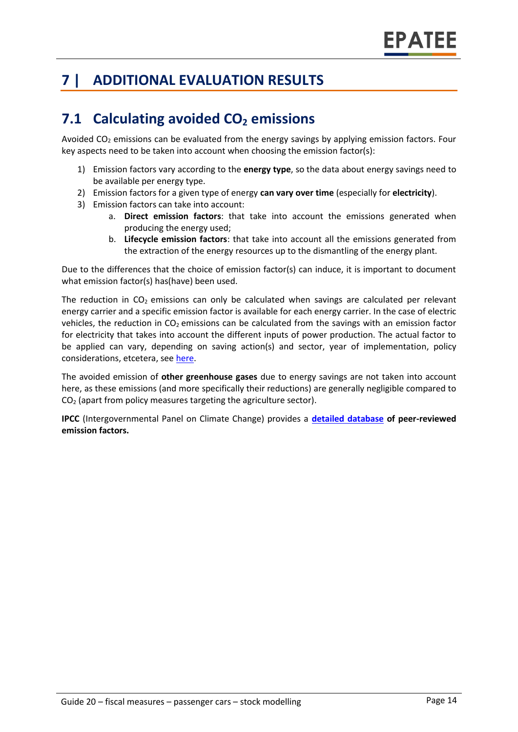# **7 | ADDITIONAL EVALUATION RESULTS**

# **7.1 Calculating avoided CO<sup>2</sup> emissions**

Avoided  $CO<sub>2</sub>$  emissions can be evaluated from the energy savings by applying emission factors. Four key aspects need to be taken into account when choosing the emission factor(s):

- 1) Emission factors vary according to the **energy type**, so the data about energy savings need to be available per energy type.
- 2) Emission factors for a given type of energy **can vary over time** (especially for **electricity**).
- 3) Emission factors can take into account:
	- a. **Direct emission factors**: that take into account the emissions generated when producing the energy used;
	- b. **Lifecycle emission factors**: that take into account all the emissions generated from the extraction of the energy resources up to the dismantling of the energy plant.

Due to the differences that the choice of emission factor(s) can induce, it is important to document what emission factor(s) has(have) been used.

The reduction in  $CO<sub>2</sub>$  emissions can only be calculated when savings are calculated per relevant energy carrier and a specific emission factor is available for each energy carrier. In the case of electric vehicles, the reduction in  $CO<sub>2</sub>$  emissions can be calculated from the savings with an emission factor for electricity that takes into account the different inputs of power production. The actual factor to be applied can vary, depending on saving action(s) and sector, year of implementation, policy considerations, etcetera, see [here.](https://www.researchgate.net/publication/222601305_Evaluation_of_methods_used_to_determine_realized_energy_savings)

The avoided emission of **other greenhouse gases** due to energy savings are not taken into account here, as these emissions (and more specifically their reductions) are generally negligible compared to CO<sup>2</sup> (apart from policy measures targeting the agriculture sector).

**IPCC** (Intergovernmental Panel on Climate Change) provides a **[detailed database](https://www.ipcc-nggip.iges.or.jp/EFDB/main.php) of peer-reviewed emission factors.**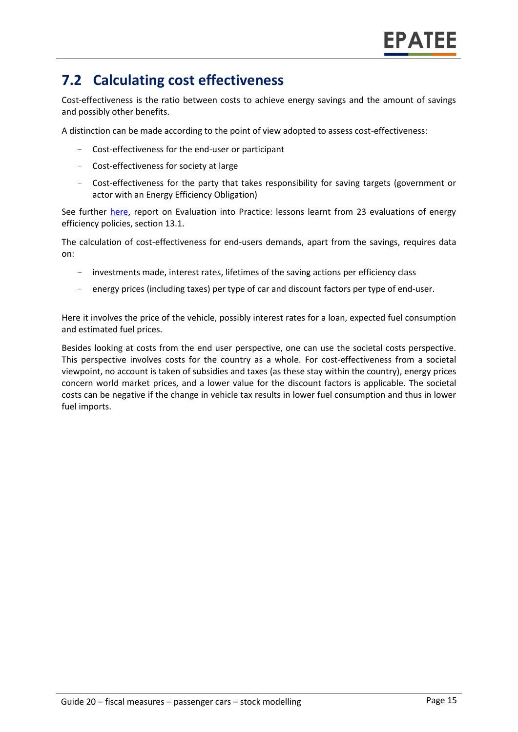# **7.2 Calculating cost effectiveness**

Cost-effectiveness is the ratio between costs to achieve energy savings and the amount of savings and possibly other benefits.

A distinction can be made according to the point of view adopted to assess cost-effectiveness:

- Cost-effectiveness for the end-user or participant
- Cost-effectiveness for society at large
- Cost-effectiveness for the party that takes responsibility for saving targets (government or actor with an Energy Efficiency Obligation)

See further [here,](https://epatee.eu/reports) report on Evaluation into Practice: lessons learnt from 23 evaluations of energy efficiency policies, section 13.1.

The calculation of cost-effectiveness for end-users demands, apart from the savings, requires data on:

- investments made, interest rates, lifetimes of the saving actions per efficiency class
- energy prices (including taxes) per type of car and discount factors per type of end-user.

Here it involves the price of the vehicle, possibly interest rates for a loan, expected fuel consumption and estimated fuel prices.

Besides looking at costs from the end user perspective, one can use the societal costs perspective. This perspective involves costs for the country as a whole. For cost-effectiveness from a societal viewpoint, no account is taken of subsidies and taxes (as these stay within the country), energy prices concern world market prices, and a lower value for the discount factors is applicable. The societal costs can be negative if the change in vehicle tax results in lower fuel consumption and thus in lower fuel imports.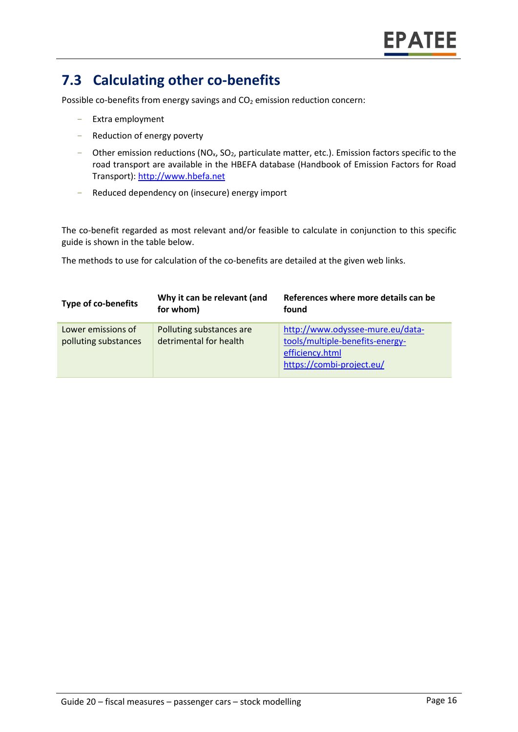# **7.3 Calculating other co-benefits**

Possible co-benefits from energy savings and  $CO<sub>2</sub>$  emission reduction concern:

- Extra employment
- Reduction of energy poverty
- Other emission reductions ( $NO<sub>x</sub>$ ,  $SO<sub>2</sub>$ , particulate matter, etc.). Emission factors specific to the road transport are available in the HBEFA database (Handbook of Emission Factors for Road Transport): [http://www.hbefa.net](http://www.hbefa.net/)
- Reduced dependency on (insecure) energy import

The co-benefit regarded as most relevant and/or feasible to calculate in conjunction to this specific guide is shown in the table below.

The methods to use for calculation of the co-benefits are detailed at the given web links.

| <b>Type of co-benefits</b>                 | Why it can be relevant (and<br>for whom)           | References where more details can be<br>found                                                                       |
|--------------------------------------------|----------------------------------------------------|---------------------------------------------------------------------------------------------------------------------|
| Lower emissions of<br>polluting substances | Polluting substances are<br>detrimental for health | http://www.odyssee-mure.eu/data-<br>tools/multiple-benefits-energy-<br>efficiency.html<br>https://combi-project.eu/ |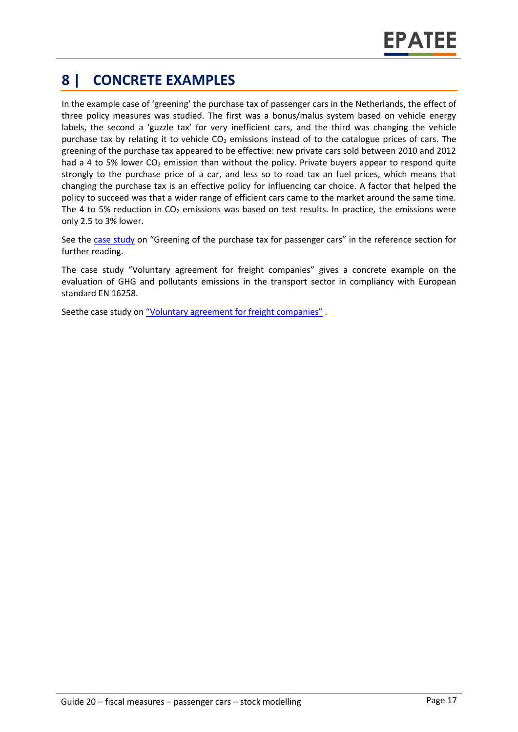# **8 | CONCRETE EXAMPLES**

In the example case of 'greening' the purchase tax of passenger cars in the Netherlands, the effect of three policy measures was studied. The first was a bonus/malus system based on vehicle energy labels, the second a 'guzzle tax' for very inefficient cars, and the third was changing the vehicle purchase tax by relating it to vehicle  $CO<sub>2</sub>$  emissions instead of to the catalogue prices of cars. The greening of the purchase tax appeared to be effective: new private cars sold between 2010 and 2012 had a 4 to 5% lower  $CO<sub>2</sub>$  emission than without the policy. Private buyers appear to respond quite strongly to the purchase price of a car, and less so to road tax an fuel prices, which means that changing the purchase tax is an effective policy for influencing car choice. A factor that helped the policy to succeed was that a wider range of efficient cars came to the market around the same time. The 4 to 5% reduction in  $CO<sub>2</sub>$  emissions was based on test results. In practice, the emissions were only 2.5 to 3% lower.

See the [case study](https://www.epatee-toolbox.eu/wp-content/uploads/2018/10/epatee_case_study_netherlands_purchase_tax_for_passenger_cars_ok.pdf) on "Greening of the purchase tax for passenger cars" in the reference section for further reading.

The case study "[Voluntary agreement for freight companies](https://epatee.eu/system/tdf/epatee_case_study_france_co2_targets_programme_ok_0.pdf?file=1&type=node&id=71)" gives a concrete example on the evaluation of GHG and pollutants emissions in the transport sector in compliancy with European standard EN 16258.

Seethe case study on ["Voluntary agreement for freight companies"](https://epatee.eu/system/tdf/epatee_case_study_france_co2_targets_programme_ok_0.pdf?file=1&type=node&id=71) .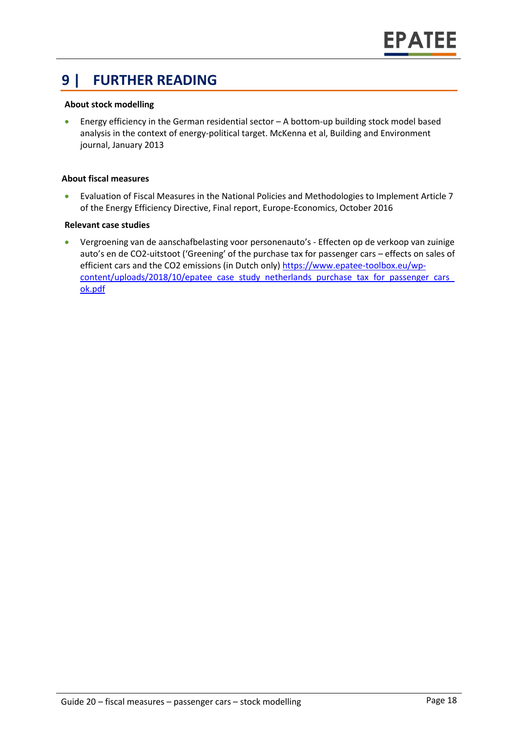### **9 | FURTHER READING**

#### **About stock modelling**

• Energy efficiency in the German residential sector – A bottom-up building stock model based analysis in the context of energy-political target. McKenna et al, Building and Environment journal, January 2013

#### **About fiscal measures**

• Evaluation of Fiscal Measures in the National Policies and Methodologies to Implement Article 7 of the Energy Efficiency Directive, Final report, Europe-Economics, October 2016

#### **Relevant case studies**

• Vergroening van de aanschafbelasting voor personenauto's - Effecten op de verkoop van zuinige auto's en de CO2-uitstoot ('Greening' of the purchase tax for passenger cars – effects on sales of efficient cars and the CO2 emissions (in Dutch only) [https://www.epatee-toolbox.eu/wp](https://www.epatee-toolbox.eu/wp-content/uploads/2018/10/epatee_case_study_netherlands_purchase_tax_for_passenger_cars_ok.pdf)content/uploads/2018/10/epatee\_case\_study\_netherlands\_purchase\_tax\_for\_passenger\_cars [ok.pdf](https://www.epatee-toolbox.eu/wp-content/uploads/2018/10/epatee_case_study_netherlands_purchase_tax_for_passenger_cars_ok.pdf)